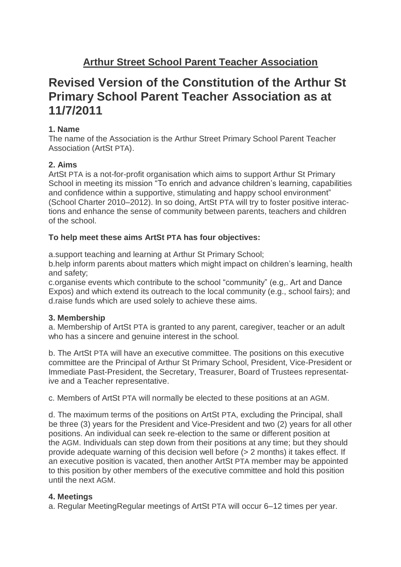# **Revised Version of the Constitution of the Arthur St Primary School Parent Teacher Association as at 11/7/2011**

## **1. Name**

The name of the Association is the Arthur Street Primary School Parent Teacher Association (ArtSt PTA).

# **2. Aims**

ArtSt PTA is a not-for-profit organisation which aims to support Arthur St Primary School in meeting its mission "To enrich and advance children's learning, capabilities and confidence within a supportive, stimulating and happy school environment" (School Charter 2010–2012). In so doing, ArtSt PTA will try to foster positive interactions and enhance the sense of community between parents, teachers and children of the school.

## **To help meet these aims ArtSt PTA has four objectives:**

a.support teaching and learning at Arthur St Primary School;

b.help inform parents about matters which might impact on children's learning, health and safety;

c.organise events which contribute to the school "community" (e.g,. Art and Dance Expos) and which extend its outreach to the local community (e.g., school fairs); and d.raise funds which are used solely to achieve these aims.

## **3. Membership**

a. Membership of ArtSt PTA is granted to any parent, caregiver, teacher or an adult who has a sincere and genuine interest in the school.

b. The ArtSt PTA will have an executive committee. The positions on this executive committee are the Principal of Arthur St Primary School, President, Vice-President or Immediate Past-President, the Secretary, Treasurer, Board of Trustees representative and a Teacher representative.

c. Members of ArtSt PTA will normally be elected to these positions at an AGM.

d. The maximum terms of the positions on ArtSt PTA, excluding the Principal, shall be three (3) years for the President and Vice-President and two (2) years for all other positions. An individual can seek re-election to the same or different position at the AGM. Individuals can step down from their positions at any time; but they should provide adequate warning of this decision well before (> 2 months) it takes effect. If an executive position is vacated, then another ArtSt PTA member may be appointed to this position by other members of the executive committee and hold this position until the next AGM.

## **4. Meetings**

a. Regular MeetingRegular meetings of ArtSt PTA will occur 6–12 times per year.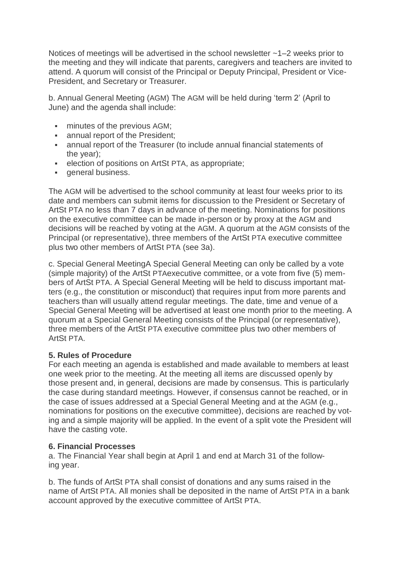Notices of meetings will be advertised in the school newsletter  $\sim$ 1–2 weeks prior to the meeting and they will indicate that parents, caregivers and teachers are invited to attend. A quorum will consist of the Principal or Deputy Principal, President or Vice-President, and Secretary or Treasurer.

b. Annual General Meeting (AGM) The AGM will be held during 'term 2' (April to June) and the agenda shall include:

- **minutes of the previous AGM;**
- **annual report of the President;**
- **EXEDENT** annual report of the Treasurer (to include annual financial statements of the year);
- **election of positions on ArtSt PTA, as appropriate;**
- **•** general business.

The AGM will be advertised to the school community at least four weeks prior to its date and members can submit items for discussion to the President or Secretary of ArtSt PTA no less than 7 days in advance of the meeting. Nominations for positions on the executive committee can be made in-person or by proxy at the AGM and decisions will be reached by voting at the AGM. A quorum at the AGM consists of the Principal (or representative), three members of the ArtSt PTA executive committee plus two other members of ArtSt PTA (see 3a).

c. Special General MeetingA Special General Meeting can only be called by a vote (simple majority) of the ArtSt PTAexecutive committee, or a vote from five (5) members of ArtSt PTA. A Special General Meeting will be held to discuss important matters (e.g., the constitution or misconduct) that requires input from more parents and teachers than will usually attend regular meetings. The date, time and venue of a Special General Meeting will be advertised at least one month prior to the meeting. A quorum at a Special General Meeting consists of the Principal (or representative), three members of the ArtSt PTA executive committee plus two other members of ArtSt PTA.

### **5. Rules of Procedure**

For each meeting an agenda is established and made available to members at least one week prior to the meeting. At the meeting all items are discussed openly by those present and, in general, decisions are made by consensus. This is particularly the case during standard meetings. However, if consensus cannot be reached, or in the case of issues addressed at a Special General Meeting and at the AGM (e.g., nominations for positions on the executive committee), decisions are reached by voting and a simple majority will be applied. In the event of a split vote the President will have the casting vote.

### **6. Financial Processes**

a. The Financial Year shall begin at April 1 and end at March 31 of the following year.

b. The funds of ArtSt PTA shall consist of donations and any sums raised in the name of ArtSt PTA. All monies shall be deposited in the name of ArtSt PTA in a bank account approved by the executive committee of ArtSt PTA.